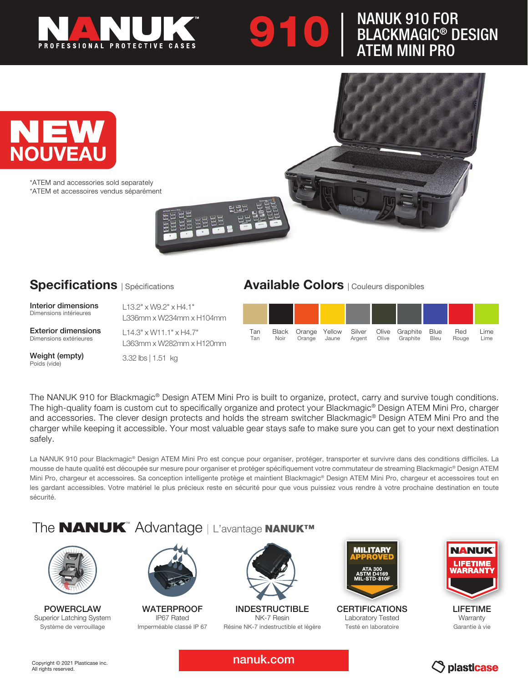

# **910 | NANUK 910 FOR<br>BLACKMAGIC® D<br>ATFM MINI PRO** BLACKMAGIC® DESIGN ATEM MINI PRO



\*ATEM and accessories sold separately \*ATEM et accessoires vendus séparément

## Specifications | Spécifications

Interior dimensions Dimensions intérieures

Exterior dimensions Dimensions extérieures

Weight (empty) Poids (vide)

L13.2" x W9.2" x H4.1" L336mm x W234mm x H104mm

L14.3" x W11.1" x H4.7" L363mm x W282mm x H120mm

3.32 lbs | 1.51 kg

## Available Colors | Couleurs disponibles



The NANUK 910 for Blackmagic® Design ATEM Mini Pro is built to organize, protect, carry and survive tough conditions. The high-quality foam is custom cut to specifically organize and protect your Blackmagic® Design ATEM Mini Pro, charger and accessories. The clever design protects and holds the stream switcher Blackmagic® Design ATEM Mini Pro and the charger while keeping it accessible. Your most valuable gear stays safe to make sure you can get to your next destination safely.

La NANUK 910 pour Blackmagic® Design ATEM Mini Pro est conçue pour organiser, protéger, transporter et survivre dans des conditions difciles. La mousse de haute qualité est découpée sur mesure pour organiser et protéger spécifiquement votre commutateur de streaming Blackmagic® Design ATEM Mini Pro, chargeur et accessoires. Sa conception intelligente protège et maintient Blackmagic® Design ATEM Mini Pro, chargeur et accessoires tout en les gardant accessibles. Votre matériel le plus précieux reste en sécurité pour que vous puissiez vous rendre à votre prochaine destination en toute sécurité.

# The **NANUK**™ Advantage | L'avantage NANUK™



POWERCLAW Superior Latching System Système de verrouillage



**WATERPROOF** IP67 Rated Imperméable classé IP 67



INDESTRUCTIBLE NK-7 Resin Résine NK-7 indestructible et légère



**CERTIFICATIONS** Laboratory Tested Testé en laboratoire



LIFETIME **Warranty** Garantie à vie

nanuk.com